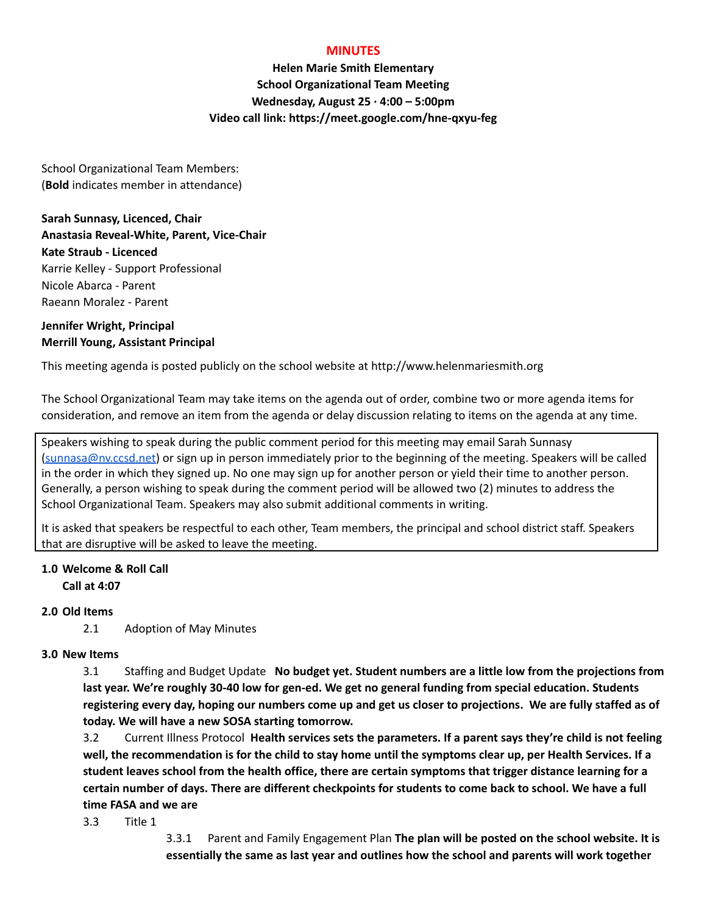#### **MINUTES**

**Helen Marie Smith Elementary School Organizational Team Meeting Wednesday, August 25 · 4:00 – 5:00pm Video call link: https://meet.google.com/hne-qxyu-feg**

School Organizational Team Members: (**Bold** indicates member in attendance)

**Sarah Sunnasy, Licenced, Chair Anastasia Reveal-White, Parent, Vice-Chair Kate Straub - Licenced** Karrie Kelley - Support Professional Nicole Abarca - Parent Raeann Moralez - Parent

#### **Jennifer Wright, Principal Merrill Young, Assistant Principal**

This meeting agenda is posted publicly on the school website at http://www.helenmariesmith.org

The School Organizational Team may take items on the agenda out of order, combine two or more agenda items for consideration, and remove an item from the agenda or delay discussion relating to items on the agenda at any time.

Speakers wishing to speak during the public comment period for this meeting may email Sarah Sunnasy [\(sunnasa@nv.ccsd.net](mailto:sunnasa@nv.ccsd.net)) or sign up in person immediately prior to the beginning of the meeting. Speakers will be called in the order in which they signed up. No one may sign up for another person or yield their time to another person. Generally, a person wishing to speak during the comment period will be allowed two (2) minutes to address the School Organizational Team. Speakers may also submit additional comments in writing.

It is asked that speakers be respectful to each other, Team members, the principal and school district staff. Speakers that are disruptive will be asked to leave the meeting.

# **1.0 Welcome & Roll Call**

**Call at 4:07**

## **2.0 Old Items**

2.1 Adoption of May Minutes

## **3.0 New Items**

3.1 Staffing and Budget Update **No budget yet. Student numbers are a little low from the projections from last year. We're roughly 30-40 low for gen-ed. We get no general funding from special education. Students** registering every day, hoping our numbers come up and get us closer to projections. We are fully staffed as of **today. We will have a new SOSA starting tomorrow.**

3.2 Current Illness Protocol **Health services sets the parameters. If a parent says they're child is not feeling** well, the recommendation is for the child to stay home until the symptoms clear up, per Health Services. If a student leaves school from the health office, there are certain symptoms that trigger distance learning for a certain number of days. There are different checkpoints for students to come back to school. We have a full **time FASA and we are**

3.3 Title 1

3.3.1 Parent and Family Engagement Plan **The plan will be posted on the school website. It is essentially the same as last year and outlines how the school and parents will work together**